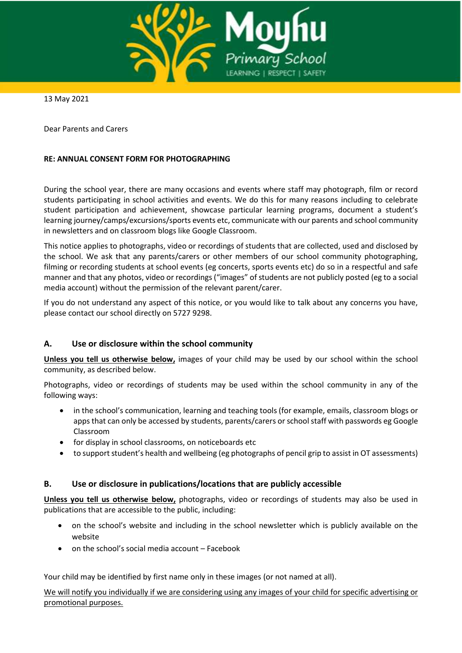

13 May 2021

Dear Parents and Carers

## **RE: ANNUAL CONSENT FORM FOR PHOTOGRAPHING**

During the school year, there are many occasions and events where staff may photograph, film or record students participating in school activities and events. We do this for many reasons including to celebrate student participation and achievement, showcase particular learning programs, document a student's learning journey/camps/excursions/sports events etc, communicate with our parents and school community in newsletters and on classroom blogs like Google Classroom.

This notice applies to photographs, video or recordings of students that are collected, used and disclosed by the school. We ask that any parents/carers or other members of our school community photographing, filming or recording students at school events (eg concerts, sports events etc) do so in a respectful and safe manner and that any photos, video or recordings ("images" of students are not publicly posted (eg to a social media account) without the permission of the relevant parent/carer.

If you do not understand any aspect of this notice, or you would like to talk about any concerns you have, please contact our school directly on 5727 9298.

# **A. Use or disclosure within the school community**

**Unless you tell us otherwise below,** images of your child may be used by our school within the school community, as described below.

Photographs, video or recordings of students may be used within the school community in any of the following ways:

- in the school's communication, learning and teaching tools (for example, emails, classroom blogs or appsthat can only be accessed by students, parents/carers or school staff with passwords eg Google Classroom
- for display in school classrooms, on noticeboards etc
- to support student's health and wellbeing (eg photographs of pencil grip to assist in OT assessments)

# **B. Use or disclosure in publications/locations that are publicly accessible**

**Unless you tell us otherwise below,** photographs, video or recordings of students may also be used in publications that are accessible to the public, including:

- on the school's website and including in the school newsletter which is publicly available on the website
- on the school's social media account Facebook

Your child may be identified by first name only in these images (or not named at all).

We will notify you individually if we are considering using any images of your child for specific advertising or promotional purposes.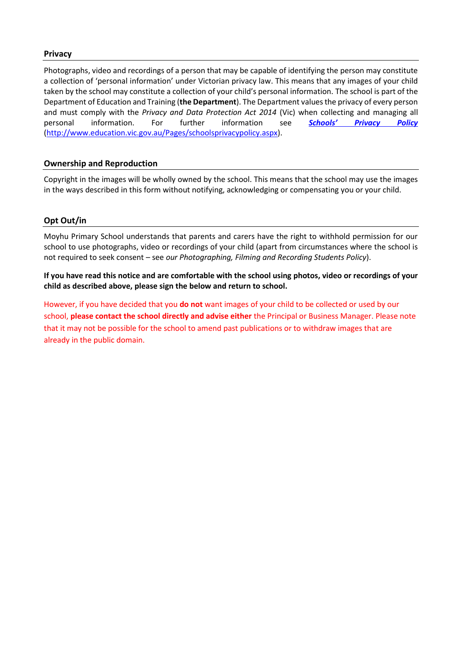## **Privacy**

Photographs, video and recordings of a person that may be capable of identifying the person may constitute a collection of 'personal information' under Victorian privacy law. This means that any images of your child taken by the school may constitute a collection of your child's personal information. The school is part of the Department of Education and Training (**the Department**). The Department values the privacy of every person and must comply with the *Privacy and Data Protection Act 2014* (Vic) when collecting and managing all personal information. For further information see *[Schools' Privacy](http://www.education.vic.gov.au/Pages/schoolsprivacypolicy.aspx) Policy* [\(http://www.education.vic.gov.au/Pages/schoolsprivacypolicy.aspx\)](http://www.education.vic.gov.au/Pages/schoolsprivacypolicy.aspx).

# **Ownership and Reproduction**

Copyright in the images will be wholly owned by the school. This means that the school may use the images in the ways described in this form without notifying, acknowledging or compensating you or your child.

## **Opt Out/in**

Moyhu Primary School understands that parents and carers have the right to withhold permission for our school to use photographs, video or recordings of your child (apart from circumstances where the school is not required to seek consent – see *our Photographing, Filming and Recording Students Policy*).

**If you have read this notice and are comfortable with the school using photos, video or recordings of your child as described above, please sign the below and return to school.** 

However, if you have decided that you **do not** want images of your child to be collected or used by our school, **please contact the school directly and advise either** the Principal or Business Manager. Please note that it may not be possible for the school to amend past publications or to withdraw images that are already in the public domain.